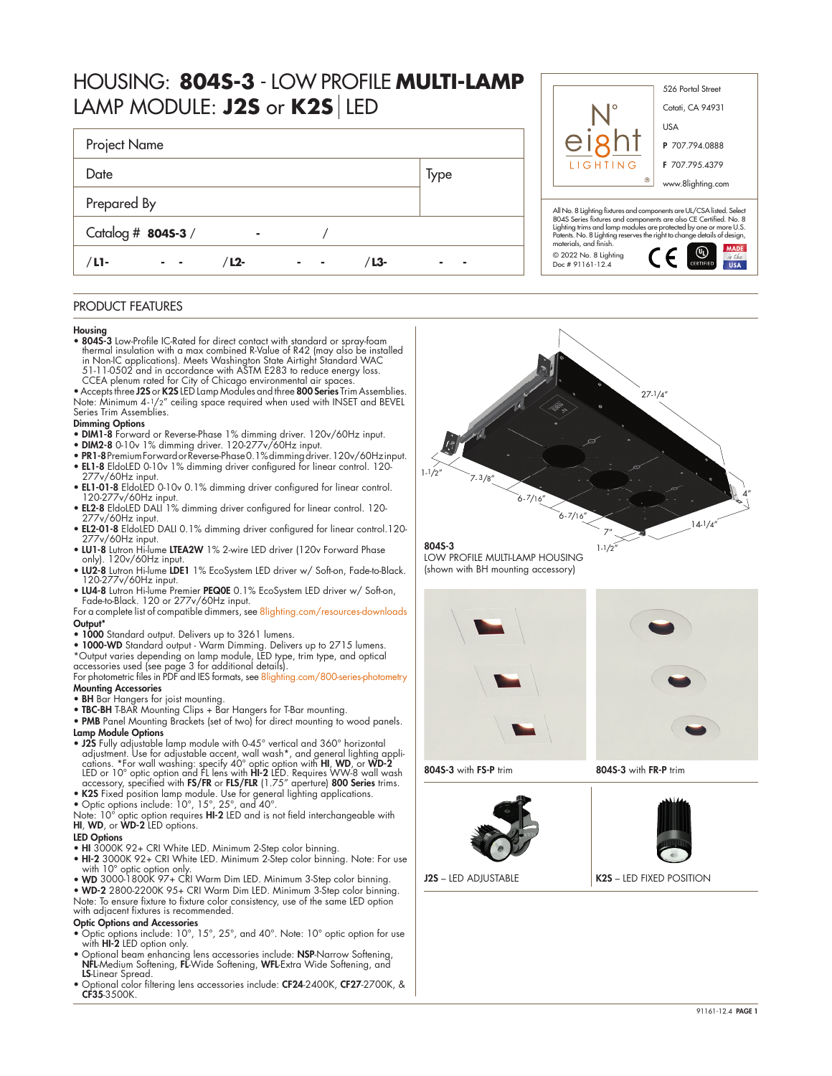# HOUSING: **804S-3** - LOW PROFILE **MULTI-LAMP** LAMP MODULE: **J2S** or **K2S** LED

| Project Name       |  |       |      |  |
|--------------------|--|-------|------|--|
| Date               |  |       | Type |  |
| Prepared By        |  |       |      |  |
| Catalog # 8045-3 / |  |       |      |  |
| /L1-<br>/ L2-      |  | / L3- |      |  |

# PRODUCT FEATURES

### Housing

• 804S-3 Low-Profile IC-Rated for direct contact with standard or spray-foam thermal insulation with a max combined R-Value of R42 (may also be installed<br>in Non-IC applications). Meets Washington State Airtight Standard WAC<br>51-11-0502 and in accordance with ASTM E283 to reduce energy loss.

CCEA plenum rated tor City of Chicago environmental air spaces.<br>• Accepts three **J2S** or **K2S** LED Lamp Modules and three **800 Series** Trim Assemblies. Note: Minimum 4-1/2" ceiling space required when used with INSET and BEVEL Series Trim Assemblies.

### Dimming Options

- DIM1-8 Forward or Reverse-Phase 1% dimming driver. 120v/60Hz input.
- DIM2-8 0-10v 1% dimming driver. 120-277v/60Hz input.
- PR1-8 Premium Forward or Reverse-Phase 0.1% dimming driver. 120v/60Hz input. • EL1-8 EldoLED 0-10v 1% dimming driver configured for linear control. 120-
- 277v/60Hz input. • EL1-01-8 EldoLED 0-10v 0.1% dimming driver configured for linear control.
- 120-277v/60Hz input. EL2-8 EldoLED DALI 1% dimming driver configured for linear control. 120-
- 277v/60Hz input. • EL2-01-8 EldoLED DALI 0.1% dimming driver configured for linear control.120- 277v/60Hz input.
- LU1-8 Lutron Hi-lume LTEA2W 1% 2-wire LED driver (120v Forward Phase only). 120v/60Hz input.
- LU2-8 Lutron Hi-lume LDE1 1% EcoSystem LED driver w/ Soft-on, Fade-to-Black. 120-277v/60Hz input.
- LU4-8 Lutron Hi-lume Premier PEQ0E 0.1% EcoSystem LED driver w/ Soft-on, Fade-to-Black. 120 or 277v/60Hz input.

### For a complete list of compatible dimmers, see [8lighting.com/resources-downloads](https://8lighting.com/resources-downloads/) Output\*

- 1000 Standard output. Delivers up to 3261 lumens.
- 1000-WD Standard output Warm Dimming. Delivers up to 2715 lumens. \*Output varies depending on lamp module, LED type, trim type, and optical accessories used (see page 3 for additional details).

For photometric files in PDF and IES formats, see [8lighting.com/800-series-photometry](https://8lighting.com/800-series-photometry/) Mounting Accessories

- 
- BH Bar Hangers for joist mounting. TBC-BH T-BAR Mounting Clips + Bar Hangers for T-Bar mounting.
- PMB Panel Mounting Brackets (set of two) for direct mounting to wood panels.
- Lamp Module Options<br>• J2S Fully adjustable lamp module with 0-45° vertical and 360° horizontal • J2S Fully adjustable lamp module with 0-45° vertical and 360° horizontal<br>adjustment. Use for adjustable accent, wall wash\*, and general lighting appli-<br>cations. \*For wall washing: specify 40° optic option with **HI, WD,**
- 
- 

• K2S Fixed position lamp module. Use for general lighting applications.<br>• Optic options include: 10°, 15°, 25°, and 40°.<br>Note: 10° optic option requires HI-2 LED and is not field interchangeable with<br>HI, WD, or WD-2 LED o

# LED Options

- 
- HI 3000K 92+ CRI White LED. Minimum 2-Step color binning. HI-2 3000K 92+ CRI White LED. Minimum 2-Step color binning. Note: For use with 10° optic option only.
- WD 3000-1800K 97+ CRI Warm Dim LED. Minimum 3-Step color binning. WD-2 2800-2200K 95+ CRI Warm Dim LED. Minimum 3-Step color binning.

Note: To ensure fixture to fixture color consistency, use of the same LED option with adjacent fixtures is recommended.

#### Optic Options and Accessories

- Optic options include: 10°, 15°, 25°, and 40°. Note: 10° optic option for use with **HI-2** LED option only.
- Optional beam enhancing lens accessories include: NSP-Narrow Softening, NFL-Medium Softening, FL-Wide Softening, WFL-Extra Wide Softening, and LS-Linear Spread.
- Optional color filtering lens accessories include: CF24-2400K, CF27-2700K, & CF35-3500K.





LOW PROFILE MULTI-LAMP HOUSING (shown with BH mounting accessory)





804S-3 with FS-P trim 804S-3 with FR-P trim



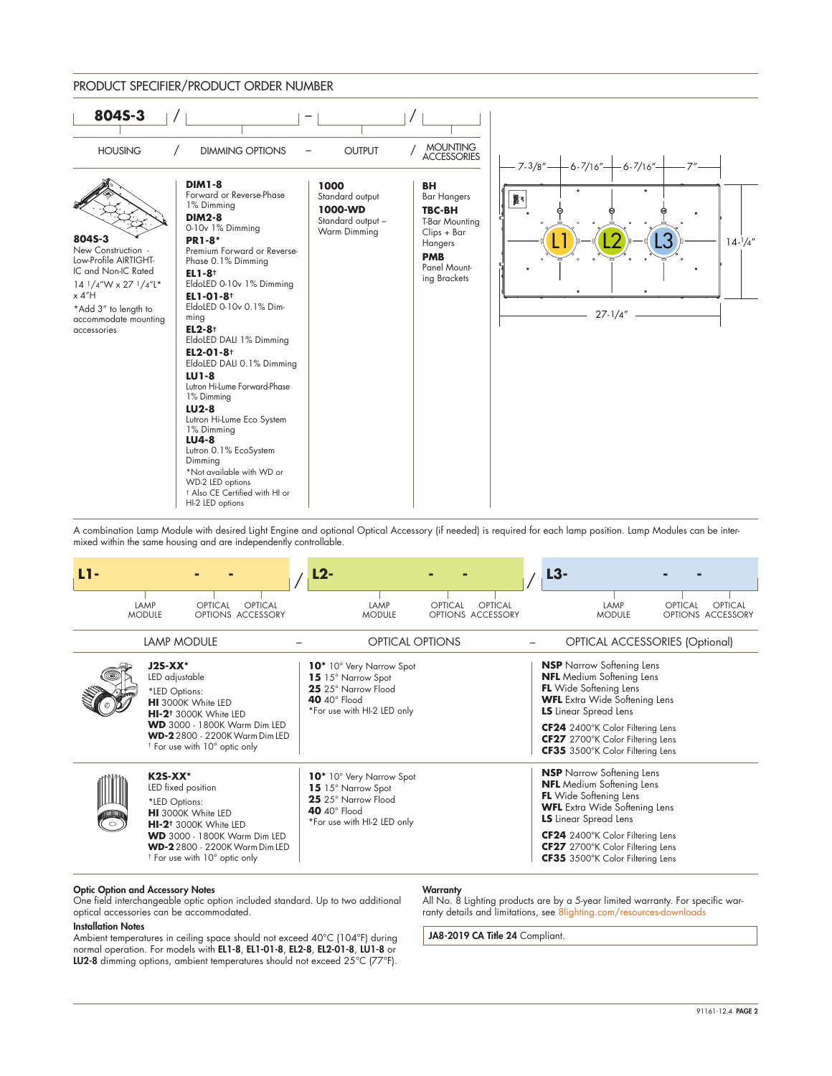

A combination Lamp Module with desired Light Engine and optional Optical Accessory (if needed) is required for each lamp position. Lamp Modules can be intermixed within the same housing and are independently controllable.

| L1-         |                                                   |                                                                                                                                                                                            |         | L2- |                                                                                                                                         |         |                              | $L3-$                                                                                                                                                                                                                                                                                     |                                         |
|-------------|---------------------------------------------------|--------------------------------------------------------------------------------------------------------------------------------------------------------------------------------------------|---------|-----|-----------------------------------------------------------------------------------------------------------------------------------------|---------|------------------------------|-------------------------------------------------------------------------------------------------------------------------------------------------------------------------------------------------------------------------------------------------------------------------------------------|-----------------------------------------|
|             | LAMP<br><b>MODULE</b>                             | OPTICAL<br>OPTIONS ACCESSORY                                                                                                                                                               | OPTICAL |     | LAMP<br><b>MODULE</b>                                                                                                                   | OPTICAL | OPTICAL<br>OPTIONS ACCESSORY | LAMP<br><b>MODULE</b>                                                                                                                                                                                                                                                                     | OPTICAL<br>OPTICAL<br>OPTIONS ACCESSORY |
|             | <b>LAMP MODULE</b>                                |                                                                                                                                                                                            |         |     | <b>OPTICAL OPTIONS</b>                                                                                                                  |         |                              |                                                                                                                                                                                                                                                                                           | <b>OPTICAL ACCESSORIES (Optional)</b>   |
|             | $J2S-XX^*$<br>LED adjustable<br>*LED Options:     | HI 3000K White LED<br>HI-2 <sup>†</sup> 3000K White LED<br><b>WD</b> 3000 - 1800K Warm Dim LED<br><b>WD-2</b> 2800 - 2200K Warm Dim LED<br><sup>†</sup> For use with 10° optic only        |         |     | 10* 10° Very Narrow Spot<br>15 15° Narrow Spot<br>25 25° Narrow Flood<br>40 $40^\circ$ Flood<br>*For use with HI-2 LED only             |         |                              | <b>NSP</b> Narrow Softening Lens<br><b>NFL</b> Medium Softening Lens<br><b>FL</b> Wide Softening Lens<br><b>WFL</b> Extra Wide Softening Lens<br><b>LS</b> Linear Spread Lens<br>CF24 2400°K Color Filtering Lens<br>CF27 2700°K Color Filtering Lens<br>CF35 3500°K Color Filtering Lens |                                         |
| umum<br>່ວ່ | $K2S-XX^*$<br>LED fixed position<br>*LED Options: | <b>HI</b> 3000K White LED<br>HI-2 <sup>†</sup> 3000K White LED<br><b>WD</b> 3000 - 1800K Warm Dim LED<br><b>WD-2</b> 2800 - 2200K Warm Dim LED<br><sup>†</sup> For use with 10° optic only |         |     | 10 <sup>*</sup> 10° Very Narrow Spot<br>15 15° Narrow Spot<br>25 25° Narrow Flood<br>40 $40^\circ$ Flood<br>*For use with HI-2 LED only |         |                              | <b>NSP</b> Narrow Softening Lens<br><b>NFL</b> Medium Softening Lens<br><b>FL</b> Wide Softening Lens<br><b>WFL</b> Extra Wide Softening Lens<br><b>LS</b> Linear Spread Lens<br>CF24 2400°K Color Filtering Lens<br>CF27 2700°K Color Filtering Lens<br>CF35 3500°K Color Filtering Lens |                                         |

### Optic Option and Accessory Notes

One field interchangeable optic option included standard. Up to two additional optical accessories can be accommodated.

#### Installation Notes

Ambient temperatures in ceiling space should not exceed 40°C (104°F) during normal operation. For models with EL1-8, EL1-01-8, EL2-8, EL2-01-8, LU1-8 or LU2-8 dimming options, ambient temperatures should not exceed 25°C (77°F).

### **Warranty**

All No. 8 Lighting products are by a 5-year limited warranty. For specific warranty details and limitations, see [8lighting.com/resources-downloads](https://8lighting.com/resources-downloads/) 

JA8-2019 CA Title 24 Compliant.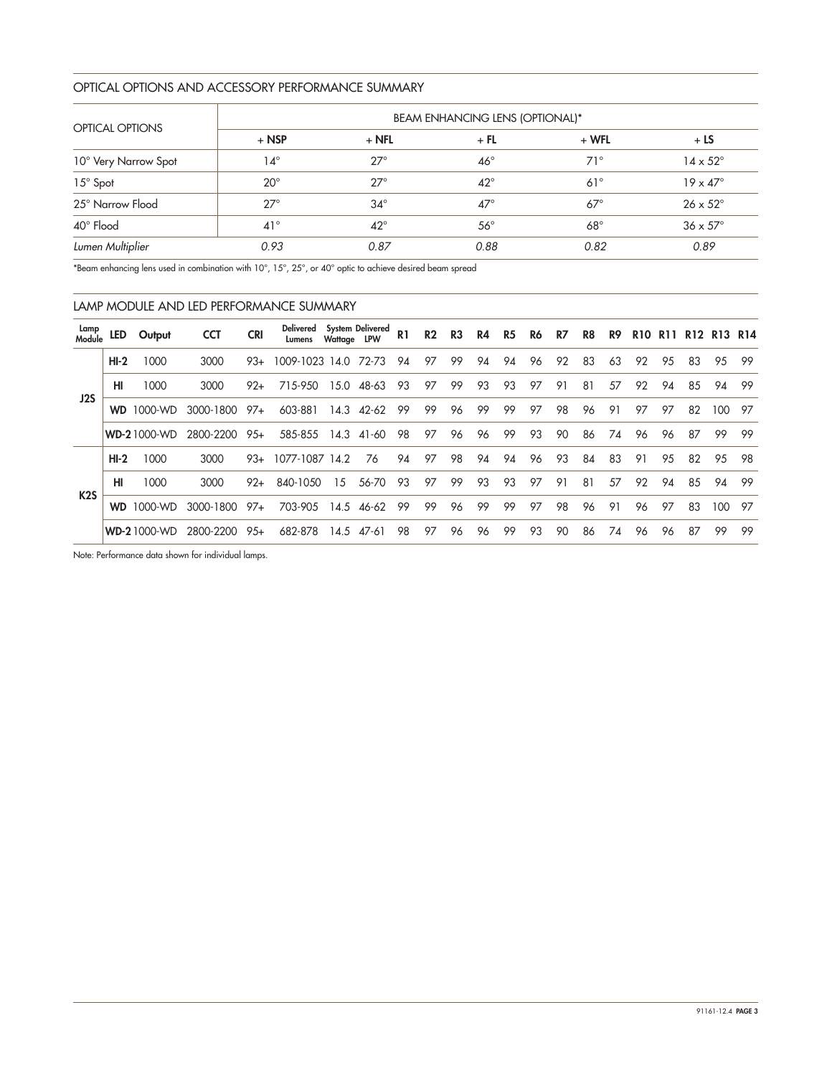# OPTICAL OPTIONS AND ACCESSORY PERFORMANCE SUMMARY

|                        | <b>BEAM ENHANCING LENS (OPTIONAL)*</b> |              |              |              |                        |  |  |  |  |  |  |  |
|------------------------|----------------------------------------|--------------|--------------|--------------|------------------------|--|--|--|--|--|--|--|
| <b>OPTICAL OPTIONS</b> | $+$ NSP                                | $+$ NFL      | $+$ FL       | $+ WFL$      | $+LS$                  |  |  |  |  |  |  |  |
| 10° Very Narrow Spot   | 14°                                    | $27^\circ$   | $46^{\circ}$ | $71^{\circ}$ | $14 \times 52^{\circ}$ |  |  |  |  |  |  |  |
| $15^\circ$ Spot        | $20^{\circ}$                           | $27^\circ$   | $42^{\circ}$ | $61^\circ$   | $19 \times 47^\circ$   |  |  |  |  |  |  |  |
| 25° Narrow Flood       | $27^\circ$                             | $34^\circ$   | $47^\circ$   | $67^\circ$   | $26 \times 52^{\circ}$ |  |  |  |  |  |  |  |
| 40° Flood              | $41^{\circ}$                           | $42^{\circ}$ | $56^{\circ}$ | $68^\circ$   | $36 \times 57^\circ$   |  |  |  |  |  |  |  |
| Lumen Multiplier       | 0.93                                   | 0.87         | 0.88         | 0.82         | 0.89                   |  |  |  |  |  |  |  |

\*Beam enhancing lens used in combination with 10°, 15°, 25°, or 40° optic to achieve desired beam spread

|                  | LAMP MODULE AND LED PERFORMANCE SUMMARY |                    |            |            |                            |             |                  |                |                |                |    |                |    |    |    |    |            |            |                 |         |     |
|------------------|-----------------------------------------|--------------------|------------|------------|----------------------------|-------------|------------------|----------------|----------------|----------------|----|----------------|----|----|----|----|------------|------------|-----------------|---------|-----|
| Lamp<br>Module   | LED                                     | Output             | <b>CCT</b> | <b>CRI</b> | <b>Delivered</b><br>Lumens | Wattage LPW | System Delivered | R <sub>1</sub> | R <sub>2</sub> | R <sub>3</sub> | R4 | R <sub>5</sub> | R6 | R7 | R8 | R9 | <b>R10</b> | <b>R11</b> | R <sub>12</sub> | R13 R14 |     |
|                  | $HI-2$                                  | 1000               | 3000       | $93+$      | 1009-1023 14.0             |             | 72-73            | 94             | 97             | 99             | 94 | 94             | 96 | 92 | 83 | 63 | 92         | 95         | 83              | 95      | -99 |
|                  | HI                                      | 1000               | 3000       | $92+$      | 715-950                    | 15.0        | 48-63            | 93             | 97             | 99             | 93 | 93             | 97 | 91 | 81 | 57 | 92         | 94         | 85              | 94      | 99  |
| J2S              | <b>WD</b>                               | 1000-WD            | 3000-1800  | $97+$      | 603-881                    | 14.3        | $42 - 62$        | 99             | 99             | 96             | 99 | 99             | 97 | 98 | 96 | 91 | 97         | 97         | 82              | 100     | 97  |
|                  |                                         | <b>WD-21000-WD</b> | 2800-2200  | $95+$      | 585-855                    | 14.3        | 41-60            | 98             | 97             | 96             | 96 | 99             | 93 | 90 | 86 | 74 | 96         | 96         | 87              | 99      | -99 |
|                  | $HI-2$                                  | 1000               | 3000       | $93+$      | 1077-1087                  | 14.2        | 76               | 94             | 97             | 98             | 94 | 94             | 96 | 93 | 84 | 83 | 91         | 95         | 82              | 95      | 98  |
|                  | HI                                      | 1000               | 3000       | $92+$      | 840-1050                   | 15          | 56-70            | 93             | 97             | 99             | 93 | 93             | 97 | 91 | 81 | 57 | 92         | 94         | 85              | 94      | 99  |
| K <sub>2</sub> S | <b>WD</b>                               | 1000-WD            | 3000-1800  | 97+        | 703-905                    | 14.5        | 46-62            | 99             | 99             | 96             | 99 | 99             | 97 | 98 | 96 | 91 | 96         | 97         | 83              | 100     | -97 |
|                  |                                         | <b>WD-21000-WD</b> | 2800-2200  | $95+$      | 682-878                    | 14.5        | 47-61            | 98             | 97             | 96             | 96 | 99             | 93 | 90 | 86 | 74 | 96         | 96         | 87              | 99      | 99  |

Note: Performance data shown for individual lamps.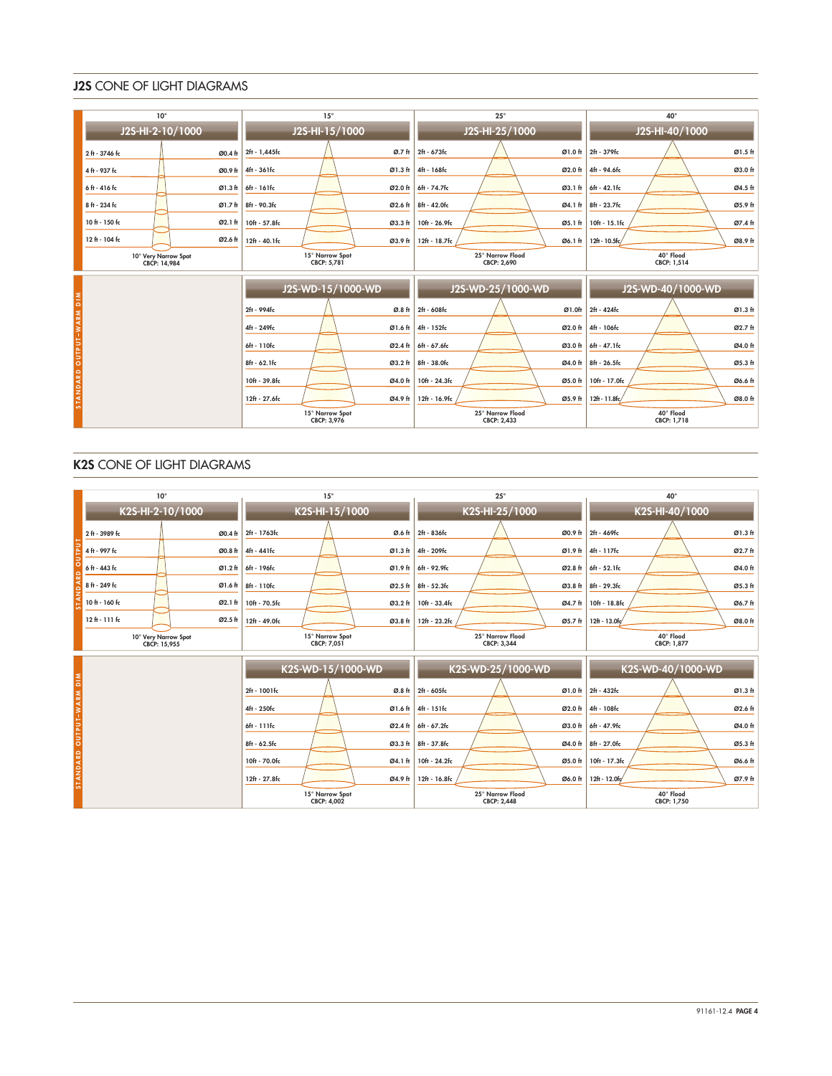# J2S CONE OF LIGHT DIAGRAMS

|                          | $10^{\circ}$                         |         | $15^\circ$                     |                   |               | $25^\circ$                      |         | $40^{\circ}$             |         |  |  |
|--------------------------|--------------------------------------|---------|--------------------------------|-------------------|---------------|---------------------------------|---------|--------------------------|---------|--|--|
|                          | J2S-HI-2-10/1000                     |         | J2S-HI-15/1000                 |                   |               | J2S-HI-25/1000                  |         | J2S-HI-40/1000           |         |  |  |
|                          | 2 ft - 3746 fc                       | Ø0.4 ft | 2ft - 1,445fc                  | Ø.7 <sub>th</sub> | 2ft - 673fc   |                                 | Ø1.0 ft | 2ft - 379fc              | Ø1.5 ft |  |  |
|                          | 4 ft - 937 fc                        | Ø0.9 ft | 4ft - 361fc                    | Ø1.3 ft           | 4ft - 168fc   |                                 | Ø2.0 ft | 4ft - 94.6fc             | Ø3.0 ft |  |  |
|                          | 6ft - 416 fc                         | Ø1.3 ft | 6ft - 161fc                    | Ø2.0 ft           | 6ft - 74.7fc  |                                 | Ø3.1 ft | 6ft - 42.1fc             | Ø4.5 ft |  |  |
|                          | 8 ft - 234 fc                        | Ø1.7 ft | 8ft - 90.3fc                   | Ø2.6 ft           | 8ft - 42.0fc  |                                 | Ø4.1 ft | 8ft - 23.7fc             | Ø5.9 ft |  |  |
|                          | 10 ft - 150 fc                       | Ø2.1 ft | 10ft - 57.8fc                  | Ø3.3 ft           | 10ft - 26.9fc |                                 | Ø5.1 ft | 10ft - 15.1fc            | Ø7.4 ft |  |  |
|                          | 12 ft - 104 fc                       | Ø2.6 ft | $12ft - 40.1fc$                | Ø3.9 ft           | 12ft - 18.7fc |                                 | Ø6.1 ft | 12ft - 10.5fc/           | Ø8.9 ft |  |  |
|                          | 10° Very Narrow Spot<br>CBCP: 14,984 |         | 15° Narrow Spot<br>CBCP: 5,781 |                   |               | 25° Narrow Flood<br>CBCP: 2,690 |         | 40° Flood<br>CBCP: 1,514 |         |  |  |
|                          |                                      |         | J2S-WD-15/1000-WD              |                   |               | J2S-WD-25/1000-WD               |         | J2S-WD-40/1000-WD        |         |  |  |
| STANDARD OUTPUT-WARM DIM |                                      |         | 2ft - 994fc                    | Ø.8 ft            | 2ft - 608fc   |                                 | Ø1.0ft  | 2ft - 424fc              | Ø1.3 ft |  |  |
|                          |                                      |         | 4ft - 249fc                    | Ø1.6 ft           | 4ft - 152fc   |                                 | Ø2.0 ft | 4ft - 106fc              | Ø2.7 ft |  |  |
|                          |                                      |         | 6ft - 110fc                    | Ø2.4 ft           | 6ft - 67.6fc  |                                 | Ø3.0 ft | 6ft - 47.1fc             | Ø4.0 ft |  |  |
|                          |                                      |         | 8ft - 62.1fc                   | Ø3.2 ft           | 8ft - 38.0fc  |                                 | Ø4.0 ft | 8ft - 26.5fc             | Ø5.3 ft |  |  |
|                          |                                      |         | 10ft - 39.8fc                  | Ø4.0 ft           | 10ft - 24.3fc |                                 | Ø5.0 ft | 10ft - 17.0fc            | Ø6.6 ft |  |  |
|                          |                                      |         | 12ft - 27.6fc                  | Ø4.9 ft           | 12ft - 16.9fc |                                 | Ø5.9 ft | 12ft - 11.8fc/           | Ø8.0 ft |  |  |
|                          |                                      |         | 15° Narrow Spot<br>CBCP: 3,976 |                   |               | 25° Narrow Flood<br>CBCP: 2.433 |         | 40° Flood<br>CBCP: 1.718 |         |  |  |

# K2S CONE OF LIGHT DIAGRAMS

|                          | $10^{\circ}$                         | $15^\circ$                            | $25^{\circ}$                             | $40^{\circ}$             |  |  |  |
|--------------------------|--------------------------------------|---------------------------------------|------------------------------------------|--------------------------|--|--|--|
|                          | K2S-HI-2-10/1000                     | K2S-HI-15/1000                        | K2S-HI-25/1000                           | K2S-HI-40/1000           |  |  |  |
|                          | 2 ft - 3989 fc<br>Ø0.4 ft            | Ø.6 ft<br>2ft - 1763fc                | 2ft - 836fc<br>Ø0.9 ft                   | Ø1.3 ft<br>2ft - 469fc   |  |  |  |
|                          | 4 ft - 997 fc<br>Ø0.8 ft             | 4ft - 441fc<br>Ø1.3 ft                | 4ft - 209fc<br>Ø1.9 ft                   | Ø2.7 ft<br>4ft - 117fc   |  |  |  |
|                          | 6 ft - 443 fc<br>Ø1.2ft              | 6ft - 196fc<br>Ø1.9 ft                | 6ft - 92.9fc<br>Ø2.8 ft                  | 6ft - 52.1fc<br>Ø4.0 ft  |  |  |  |
|                          | 8 ft - 249 fc<br>Ø1.6 ft             | 8ft - 110fc<br>Ø2.5 ft                | 8ft - 52.3fc<br>$\varnothing$ 3.8 ft     | Ø5.3 ft<br>8ft - 29.3fc  |  |  |  |
|                          | 10 ft - 160 fc<br>Ø2.1 ft            | 10ft - 70.5fc<br>Ø3.2 ft              | 10ft - 33.4fc<br>Ø4.7 ft                 | Ø6.7 ft<br>10ft - 18.8fc |  |  |  |
|                          | $12th - 111th$<br>Ø2.5 ft            | 12ft - 49.0fc<br>Ø3.8 ft              | 12ft - 23.2fc<br>Ø5.7 ft                 | 12ft - 13.0fc<br>Ø8.0 ft |  |  |  |
|                          | 10° Very Narrow Spot<br>CBCP: 15.955 | 15° Narrow Spot<br>CBCP: 7.051        | 25° Narrow Flood<br>CBCP: 3.344          | 40° Flood<br>CBCP: 1.877 |  |  |  |
|                          |                                      | K2S-WD-15/1000-WD                     | K2S-WD-25/1000-WD                        | K2S-WD-40/1000-WD        |  |  |  |
| STANDARD OUTPUT-WARM DIM |                                      | 2ft - 1001fc                          | Ø.8 ft 2ft - 605fc<br>Ø1.0 <sub>ft</sub> | Ø1.3 ft<br>2ft - 432fc   |  |  |  |
|                          |                                      | 4ft - 250fc                           | Ø1.6 ft 4ft - 151fc<br>Ø2.0 ft           | 4ft - 108fc<br>Ø2.6 ft   |  |  |  |
|                          |                                      | 6ft - 111fc<br>Ø2.4 ft                | 6ft - 67.2fc<br>Ø3.0 ft                  | 6ft - 47.9fc<br>Ø4.0 ft  |  |  |  |
|                          |                                      | 8ft - 62.5fc<br>Ø3.3 ft               | 8ft - 37.8fc<br>Ø4.0 ft                  | Ø5.3 ft<br>8ft - 27.0fc  |  |  |  |
|                          |                                      | 10ft - 70.0fc<br>Ø4.1 ft              | 10ft - 24.2fc<br>Ø5.0 ft                 | 10ft - 17.3fc<br>Ø6.6 ft |  |  |  |
|                          |                                      | 12ft - 27.8fc<br>Ø4.9 ft              | 12ft - 16.8fc<br>Ø6.0 ft                 | 12ft - 12.0fc<br>Ø7.9 ft |  |  |  |
|                          |                                      | 15° Narrow Spot<br><b>CBCP: 4,002</b> | 25° Narrow Flood<br><b>CBCP: 2,448</b>   | 40° Flood<br>CBCP: 1,750 |  |  |  |